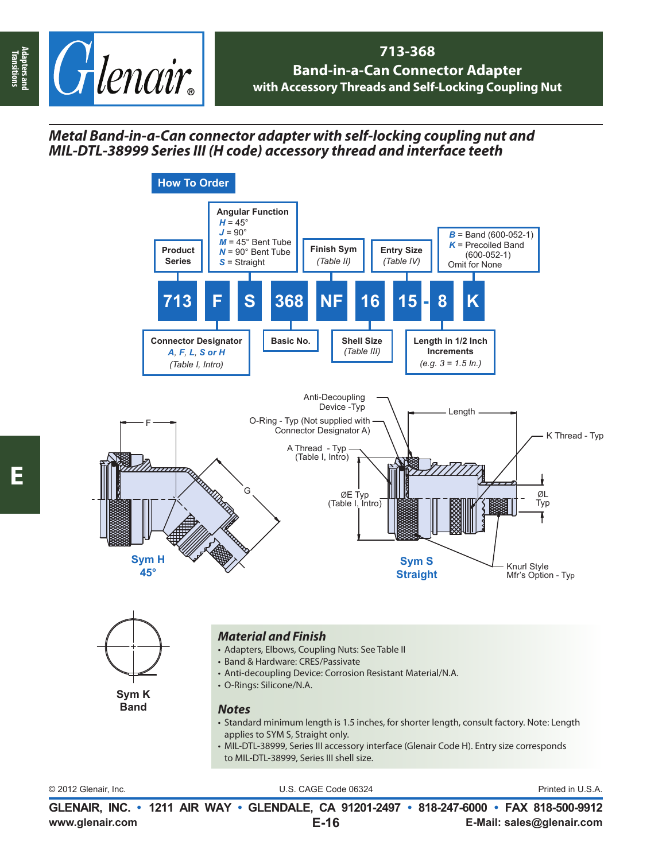

## **713-368 Band-in-a-Can Connector Adapter with Accessory Threads and Self-Locking Coupling Nut**

## *Metal Band-in-a-Can connector adapter with self-locking coupling nut and MIL-DTL-38999 Series III (H code) accessory thread and interface teeth*



© 2012 Glenair, Inc. U.S. CAGE Code 06324 Printed in U.S.A.

**www.glenair.com E-Mail: sales@glenair.com GLENAIR, INC. • 1211 AIR WAY • GLENDALE, CA 91201-2497 • 818-247-6000 • FAX 818-500-9912 E-16**

**Transitions**